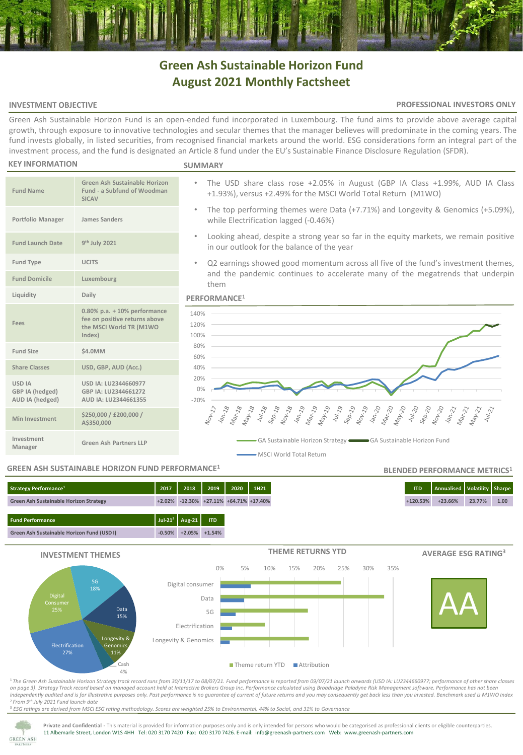# **Green Ash Sustainable Horizon Fund August 2021 Monthly Factsheet**

#### **INVESTMENT OBJECTIVE**

#### **PROFESSIONAL INVESTORS ONLY**

Green Ash Sustainable Horizon Fund is an open-ended fund incorporated in Luxembourg. The fund aims to provide above average capital growth, through exposure to innovative technologies and secular themes that the manager believes will predominate in the coming years. The fund invests globally, in listed securities, from recognised financial markets around the world. ESG considerations form an integral part of the investment process, and the fund is designated an Article 8 fund under the EU's Sustainable Finance Disclosure Regulation (SFDR).

#### **KEY INFORMATION**

#### **SUMMARY**

| <b>Fund Name</b>                                    | Green Ash Sustainable Horizon<br>Fund - a Subfund of Woodman<br><b>SICAV</b>                            |  |  |  |
|-----------------------------------------------------|---------------------------------------------------------------------------------------------------------|--|--|--|
| Portfolio Manager                                   | James Sanders                                                                                           |  |  |  |
| <b>Fund Launch Date</b>                             | 9 <sup>th</sup> July 2021                                                                               |  |  |  |
| <b>Fund Type</b>                                    | <b>UCITS</b>                                                                                            |  |  |  |
| <b>Fund Domicile</b>                                | Luxembourg                                                                                              |  |  |  |
| Liquidity                                           | Daily                                                                                                   |  |  |  |
| Fees                                                | $0.80\%$ p.a. $+10\%$ performance<br>fee on positive returns above<br>the MSCI World TR (M1WO<br>Index) |  |  |  |
| Fund Size                                           | \$4.0MM                                                                                                 |  |  |  |
| <b>Share Classes</b>                                | USD, GBP, AUD (Acc.)                                                                                    |  |  |  |
| <b>USD IA</b><br>GBP IA (hedged)<br>AUD IA (hedged) | USD IA: LU2344660977<br>GBP IA: LU2344661272<br>AUD IA: LU2344661355                                    |  |  |  |
| Min Investment                                      | \$250,000 / £200,000 /<br>A\$350,000                                                                    |  |  |  |
| Investment<br>Manager                               | <b>Green Ash Partners LLP</b>                                                                           |  |  |  |

- The USD share class rose +2.05% in August (GBP IA Class +1.99%, AUD IA Class +1.93%), versus +2.49% for the MSCI World Total Return (M1WO)
	- The top performing themes were Data (+7.71%) and Longevity & Genomics (+5.09%), while Electrification lagged (-0.46%)
	- Looking ahead, despite a strong year so far in the equity markets, we remain positive in our outlook for the balance of the year
	- Q2 earnings showed good momentum across all five of the fund's investment themes, and the pandemic continues to accelerate many of the megatrends that underpin them

#### **PERFORMANCE<sup>1</sup>**



#### **GREEN ASH SUSTAINABLE HORIZON FUND PERFORMANCE<sup>1</sup>**

## **Fund Performance Jul-21<sup>2</sup> Aug-21 ITD Green Ash Sustainable Horizon Fund (USD I) -0.50% +2.05% +1.54% Strategy Performance<sup>1</sup> 2017 2018 2019 2020 1H21 ITD Annualised Volatility Sharpe Green Ash Sustainable Horizon Strategy +2.02% -12.30% +27.11% +64.71% +17.40% +120.53% +23.66% 23.77% 1.00**



<sup>1</sup>*The Green Ash Sustainable Horizon Strategy track record runs from 30/11/17 to 08/07/21. Fund performance is reported from 09/07/21 launch onwards (USD IA: LU2344660977; performance of other share classes on page 3)*. *Strategy Track record based on managed account held at Interactive Brokers Group Inc. Performance calculated using Broadridge Paladyne Risk Management software. Performance has not been independently audited and is for illustrative purposes only. Past performance is no guarantee of current of future returns and you may consequently get back less than you invested. Benchmark used is M1WO Index* <sup>2</sup>*From 9th July 2021 Fund launch date*

<sup>3</sup> *ESG ratings are derived from MSCI ESG rating methodology. Scores are weighted 25% to Environmental, 44% to Social, and 31% to Governance*



**Private and Confidential -** This material is provided for information purposes only and is only intended for persons who would be categorised as professional clients or eligible counterparties. 11 Albemarle Street, London W1S 4HH Tel: 020 3170 7420 Fax: 020 3170 7426. E-mail: info@greenash-partners.com Web: www.greenash-partners.com

**BLENDED PERFORMANCE METRICS<sup>1</sup>**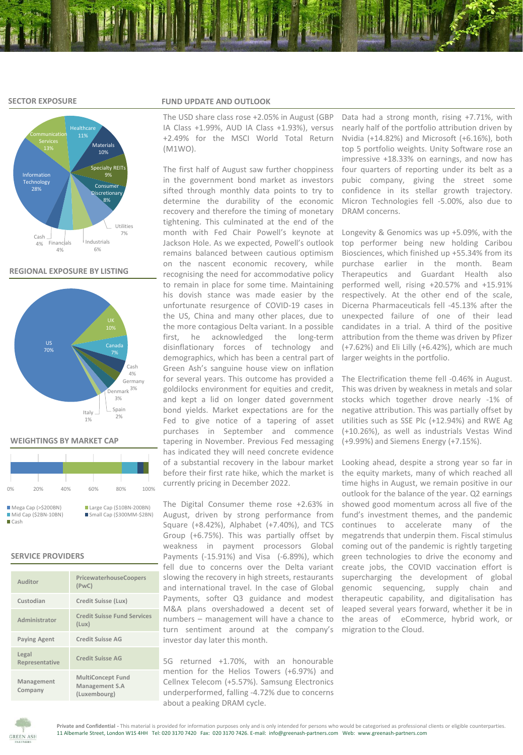#### **SECTOR EXPOSURE**



#### **REGIONAL EXPOSURE BY LISTING**



#### **WEIGHTINGS BY MARKET CAP**

| 0%                                                    | 20% | 40% | 60%                                                   | 80% | 100% |
|-------------------------------------------------------|-----|-----|-------------------------------------------------------|-----|------|
| Mega Cap (> \$200BN)<br>$Mid Cap (52BN-10BN)$<br>Cash |     |     | Large Cap (\$10BN-200BN)<br>Small Cap (\$300MM-\$2BN) |     |      |

#### **SERVICE PROVIDERS**

| Auditor                 | PricewaterhouseCoopers<br>(PwC)                            |
|-------------------------|------------------------------------------------------------|
| Custodian               | Credit Suisse (Lux)                                        |
| Administrator           | <b>Credit Suisse Fund Services</b><br>(Lux)                |
| <b>Paying Agent</b>     | <b>Credit Suisse AG</b>                                    |
| Legal<br>Representative | Credit Suisse AG                                           |
| Management<br>Company   | <b>MultiConcept Fund</b><br>Management S.A<br>(Luxembourg) |

#### **FUND UPDATE AND OUTLOOK**

The USD share class rose +2.05% in August (GBP IA Class +1.99%, AUD IA Class +1.93%), versus +2.49% for the MSCI World Total Return (M1WO).

The first half of August saw further choppiness in the government bond market as investors sifted through monthly data points to try to determine the durability of the economic recovery and therefore the timing of monetary tightening. This culminated at the end of the month with Fed Chair Powell's keynote at Jackson Hole. As we expected, Powell's outlook remains balanced between cautious optimism on the nascent economic recovery, while recognising the need for accommodative policy to remain in place for some time. Maintaining his dovish stance was made easier by the unfortunate resurgence of COVID-19 cases in the US, China and many other places, due to the more contagious Delta variant. In a possible first, he acknowledged the long-term disinflationary forces of technology and demographics, which has been a central part of Green Ash's sanguine house view on inflation for several years. This outcome has provided a goldilocks environment for equities and credit, and kept a lid on longer dated government bond yields. Market expectations are for the Fed to give notice of a tapering of asset purchases in September and commence tapering in November. Previous Fed messaging has indicated they will need concrete evidence of a substantial recovery in the labour market before their first rate hike, which the market is currently pricing in December 2022.

The Digital Consumer theme rose +2.63% in August, driven by strong performance from Square (+8.42%), Alphabet (+7.40%), and TCS Group (+6.75%). This was partially offset by weakness in payment processors Global Payments (-15.91%) and Visa (-6.89%), which fell due to concerns over the Delta variant slowing the recovery in high streets, restaurants and international travel. In the case of Global Payments, softer Q3 guidance and modest M&A plans overshadowed a decent set of numbers – management will have a chance to turn sentiment around at the company's investor day later this month.

5G returned +1.70%, with an honourable mention for the Helios Towers (+6.97%) and Cellnex Telecom (+5.57%). Samsung Electronics underperformed, falling -4.72% due to concerns about a peaking DRAM cycle.

Data had a strong month, rising +7.71%, with nearly half of the portfolio attribution driven by Nvidia (+14.82%) and Microsoft (+6.16%), both top 5 portfolio weights. Unity Software rose an impressive +18.33% on earnings, and now has four quarters of reporting under its belt as a pubic company, giving the street some confidence in its stellar growth trajectory. Micron Technologies fell -5.00%, also due to DRAM concerns.

Longevity & Genomics was up +5.09%, with the top performer being new holding Caribou Biosciences, which finished up +55.34% from its purchase earlier in the month. Beam Therapeutics and Guardant Health also performed well, rising +20.57% and +15.91% respectively. At the other end of the scale, Dicerna Pharmaceuticals fell -45.13% after the unexpected failure of one of their lead candidates in a trial. A third of the positive attribution from the theme was driven by Pfizer (+7.62%) and Eli Lilly (+6.42%), which are much larger weights in the portfolio.

The Electrification theme fell -0.46% in August. This was driven by weakness in metals and solar stocks which together drove nearly -1% of negative attribution. This was partially offset by utilities such as SSE Plc (+12.94%) and RWE Ag (+10.26%), as well as industrials Vestas Wind (+9.99%) and Siemens Energy (+7.15%).

Looking ahead, despite a strong year so far in the equity markets, many of which reached all time highs in August, we remain positive in our outlook for the balance of the year. Q2 earnings showed good momentum across all five of the fund's investment themes, and the pandemic continues to accelerate many of the megatrends that underpin them. Fiscal stimulus coming out of the pandemic is rightly targeting green technologies to drive the economy and create jobs, the COVID vaccination effort is supercharging the development of global genomic sequencing, supply chain and therapeutic capability, and digitalisation has leaped several years forward, whether it be in the areas of eCommerce, hybrid work, or migration to the Cloud.